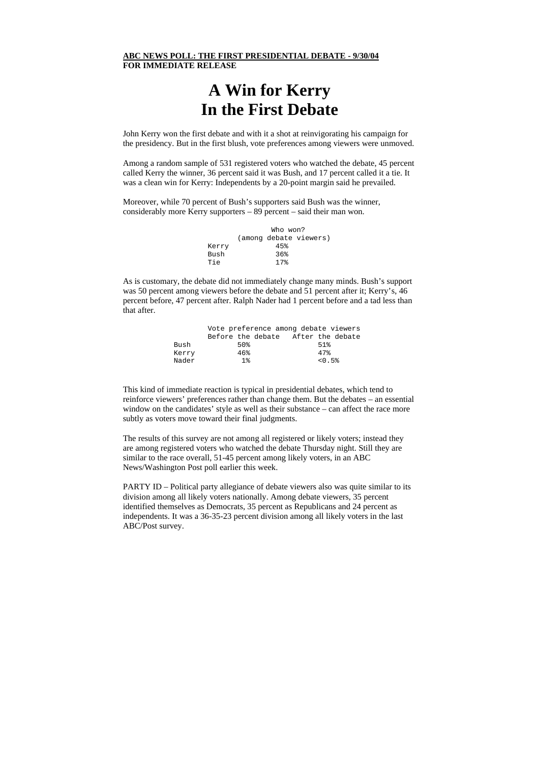## **ABC NEWS POLL: THE FIRST PRESIDENTIAL DEBATE - 9/30/04 FOR IMMEDIATE RELEASE**

## **A Win for Kerry In the First Debate**

John Kerry won the first debate and with it a shot at reinvigorating his campaign for the presidency. But in the first blush, vote preferences among viewers were unmoved.

Among a random sample of 531 registered voters who watched the debate, 45 percent called Kerry the winner, 36 percent said it was Bush, and 17 percent called it a tie. It was a clean win for Kerry: Independents by a 20-point margin said he prevailed.

Moreover, while 70 percent of Bush's supporters said Bush was the winner, considerably more Kerry supporters – 89 percent – said their man won.

|       | Who won? |                |                        |
|-------|----------|----------------|------------------------|
|       |          |                | (among debate viewers) |
| Kerry |          | 45%            |                        |
| Bush  |          | 36%            |                        |
| Tie   |          | $17$ $\approx$ |                        |
|       |          |                |                        |

As is customary, the debate did not immediately change many minds. Bush's support was 50 percent among viewers before the debate and 51 percent after it; Kerry's, 46 percent before, 47 percent after. Ralph Nader had 1 percent before and a tad less than that after.

|       | Vote preference among debate viewers |        |
|-------|--------------------------------------|--------|
|       | Before the debate After the debate   |        |
| Bush  | 50%                                  | 51.8   |
| Kerry | 46%                                  | 47%    |
| Nader | 1 <sup>8</sup>                       | < 0.5% |

This kind of immediate reaction is typical in presidential debates, which tend to reinforce viewers' preferences rather than change them. But the debates – an essential window on the candidates' style as well as their substance – can affect the race more subtly as voters move toward their final judgments.

The results of this survey are not among all registered or likely voters; instead they are among registered voters who watched the debate Thursday night. Still they are similar to the race overall, 51-45 percent among likely voters, in an ABC News/Washington Post poll earlier this week.

PARTY ID – Political party allegiance of debate viewers also was quite similar to its division among all likely voters nationally. Among debate viewers, 35 percent identified themselves as Democrats, 35 percent as Republicans and 24 percent as independents. It was a 36-35-23 percent division among all likely voters in the last ABC/Post survey.